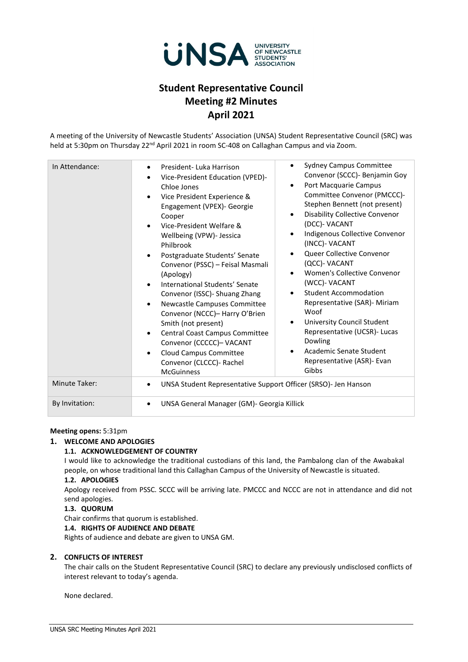

## **Student Representative Council Meeting #2 Minutes April 2021**

A meeting of the University of Newcastle Students' Association (UNSA) Student Representative Council (SRC) was held at 5:30pm on Thursday 22<sup>nd</sup> April 2021 in room SC-408 on Callaghan Campus and via Zoom.

| In Attendance:       | President-Luka Harrison<br>$\bullet$<br>Vice-President Education (VPED)-<br>$\bullet$<br>Chloe Jones<br>Vice President Experience &<br>$\bullet$<br>Engagement (VPEX)- Georgie<br>Cooper<br>Vice-President Welfare &<br>$\bullet$<br>Wellbeing (VPW)- Jessica<br>Philbrook<br>Postgraduate Students' Senate<br>$\bullet$<br>Convenor (PSSC) - Feisal Masmali<br>(Apology)<br>International Students' Senate<br>$\bullet$<br>Convenor (ISSC) - Shuang Zhang<br>Newcastle Campuses Committee<br>$\bullet$<br>Convenor (NCCC)- Harry O'Brien<br>Smith (not present)<br>Central Coast Campus Committee<br>$\bullet$<br>Convenor (CCCCC)- VACANT<br>Cloud Campus Committee<br>$\bullet$<br>Convenor (CLCCC)- Rachel<br><b>McGuinness</b> | <b>Sydney Campus Committee</b><br>$\bullet$<br>Convenor (SCCC) - Benjamin Goy<br>Port Macquarie Campus<br>$\bullet$<br>Committee Convenor (PMCCC)-<br>Stephen Bennett (not present)<br><b>Disability Collective Convenor</b><br>$\bullet$<br>(DCC)- VACANT<br>Indigenous Collective Convenor<br>$\bullet$<br>(INCC)- VACANT<br>Queer Collective Convenor<br>$\bullet$<br>(QCC)- VACANT<br>Women's Collective Convenor<br>$\bullet$<br>(WCC)- VACANT<br><b>Student Accommodation</b><br>$\bullet$<br>Representative (SAR)- Miriam<br>Woof<br>University Council Student<br>$\bullet$<br>Representative (UCSR)- Lucas<br>Dowling<br>Academic Senate Student<br>$\bullet$<br>Representative (ASR)- Evan<br>Gibbs |
|----------------------|-------------------------------------------------------------------------------------------------------------------------------------------------------------------------------------------------------------------------------------------------------------------------------------------------------------------------------------------------------------------------------------------------------------------------------------------------------------------------------------------------------------------------------------------------------------------------------------------------------------------------------------------------------------------------------------------------------------------------------------|---------------------------------------------------------------------------------------------------------------------------------------------------------------------------------------------------------------------------------------------------------------------------------------------------------------------------------------------------------------------------------------------------------------------------------------------------------------------------------------------------------------------------------------------------------------------------------------------------------------------------------------------------------------------------------------------------------------|
| <b>Minute Taker:</b> | UNSA Student Representative Support Officer (SRSO)- Jen Hanson<br>٠                                                                                                                                                                                                                                                                                                                                                                                                                                                                                                                                                                                                                                                                 |                                                                                                                                                                                                                                                                                                                                                                                                                                                                                                                                                                                                                                                                                                               |
|                      |                                                                                                                                                                                                                                                                                                                                                                                                                                                                                                                                                                                                                                                                                                                                     |                                                                                                                                                                                                                                                                                                                                                                                                                                                                                                                                                                                                                                                                                                               |
| By Invitation:       | UNSA General Manager (GM)- Georgia Killick<br>$\bullet$                                                                                                                                                                                                                                                                                                                                                                                                                                                                                                                                                                                                                                                                             |                                                                                                                                                                                                                                                                                                                                                                                                                                                                                                                                                                                                                                                                                                               |

#### **Meeting opens:** 5:31pm

#### **1. WELCOME AND APOLOGIES**

#### **1.1. ACKNOWLEDGEMENT OF COUNTRY**

I would like to acknowledge the traditional custodians of this land, the Pambalong clan of the Awabakal people, on whose traditional land this Callaghan Campus of the University of Newcastle is situated.

#### **1.2. APOLOGIES**

Apology received from PSSC. SCCC will be arriving late. PMCCC and NCCC are not in attendance and did not send apologies.

#### **1.3. QUORUM**

Chair confirms that quorum is established.

#### **1.4. RIGHTS OF AUDIENCE AND DEBATE**

Rights of audience and debate are given to UNSA GM.

#### **2. CONFLICTS OF INTEREST**

The chair calls on the Student Representative Council (SRC) to declare any previously undisclosed conflicts of interest relevant to today's agenda.

None declared.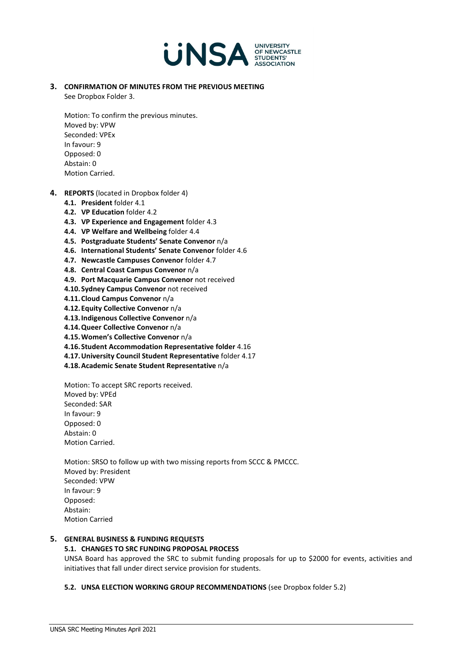

**3. CONFIRMATION OF MINUTES FROM THE PREVIOUS MEETING** See Dropbox Folder 3.

Motion: To confirm the previous minutes. Moved by: VPW Seconded: VPEx In favour: 9 Opposed: 0 Abstain: 0 Motion Carried.

- **4. REPORTS** (located in Dropbox folder 4)
	- **4.1. President** folder 4.1
	- **4.2. VP Education** folder 4.2
	- **4.3. VP Experience and Engagement** folder 4.3
	- **4.4. VP Welfare and Wellbeing** folder 4.4
	- **4.5. Postgraduate Students' Senate Convenor** n/a
	- **4.6. International Students' Senate Convenor** folder 4.6
	- **4.7. Newcastle Campuses Convenor** folder 4.7
	- **4.8. Central Coast Campus Convenor** n/a
	- **4.9. Port Macquarie Campus Convenor** not received
	- **4.10.Sydney Campus Convenor** not received
	- **4.11.Cloud Campus Convenor** n/a
	- **4.12.Equity Collective Convenor** n/a
	- **4.13.Indigenous Collective Convenor** n/a
	- **4.14.Queer Collective Convenor** n/a
	- **4.15.Women's Collective Convenor** n/a
	- **4.16.Student Accommodation Representative folder** 4.16
	- **4.17.University Council Student Representative** folder 4.17
	- **4.18.Academic Senate Student Representative** n/a

Motion: To accept SRC reports received. Moved by: VPEd Seconded: SAR In favour: 9 Opposed: 0 Abstain: 0 Motion Carried.

Motion: SRSO to follow up with two missing reports from SCCC & PMCCC. Moved by: President Seconded: VPW In favour: 9 Opposed: Abstain: Motion Carried

### **5. GENERAL BUSINESS & FUNDING REQUESTS**

#### **5.1. CHANGES TO SRC FUNDING PROPOSAL PROCESS**

UNSA Board has approved the SRC to submit funding proposals for up to \$2000 for events, activities and initiatives that fall under direct service provision for students.

#### **5.2. UNSA ELECTION WORKING GROUP RECOMMENDATIONS** (see Dropbox folder 5.2)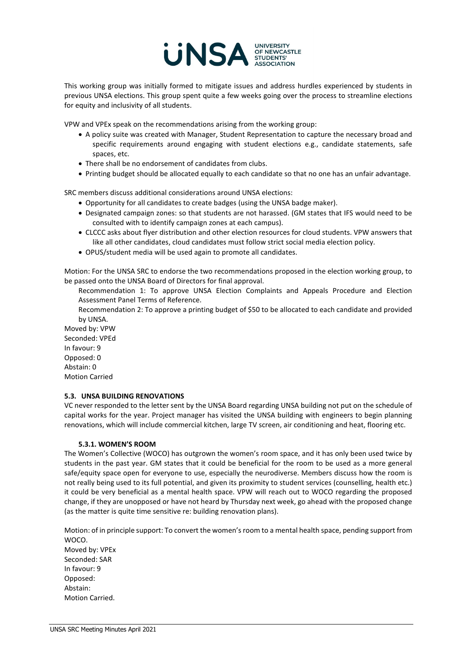

This working group was initially formed to mitigate issues and address hurdles experienced by students in previous UNSA elections. This group spent quite a few weeks going over the process to streamline elections for equity and inclusivity of all students.

VPW and VPEx speak on the recommendations arising from the working group:

- A policy suite was created with Manager, Student Representation to capture the necessary broad and specific requirements around engaging with student elections e.g., candidate statements, safe spaces, etc.
- There shall be no endorsement of candidates from clubs.
- Printing budget should be allocated equally to each candidate so that no one has an unfair advantage.

SRC members discuss additional considerations around UNSA elections:

- Opportunity for all candidates to create badges (using the UNSA badge maker).
- Designated campaign zones: so that students are not harassed. (GM states that IFS would need to be consulted with to identify campaign zones at each campus).
- CLCCC asks about flyer distribution and other election resources for cloud students. VPW answers that like all other candidates, cloud candidates must follow strict social media election policy.
- OPUS/student media will be used again to promote all candidates.

Motion: For the UNSA SRC to endorse the two recommendations proposed in the election working group, to be passed onto the UNSA Board of Directors for final approval.

Recommendation 1: To approve UNSA Election Complaints and Appeals Procedure and Election Assessment Panel Terms of Reference.

Recommendation 2: To approve a printing budget of \$50 to be allocated to each candidate and provided by UNSA.

Moved by: VPW Seconded: VPEd In favour: 9 Opposed: 0 Abstain: 0 Motion Carried

#### **5.3. UNSA BUILDING RENOVATIONS**

VC never responded to the letter sent by the UNSA Board regarding UNSA building not put on the schedule of capital works for the year. Project manager has visited the UNSA building with engineers to begin planning renovations, which will include commercial kitchen, large TV screen, air conditioning and heat, flooring etc.

#### **5.3.1. WOMEN'S ROOM**

The Women's Collective (WOCO) has outgrown the women's room space, and it has only been used twice by students in the past year. GM states that it could be beneficial for the room to be used as a more general safe/equity space open for everyone to use, especially the neurodiverse. Members discuss how the room is not really being used to its full potential, and given its proximity to student services (counselling, health etc.) it could be very beneficial as a mental health space. VPW will reach out to WOCO regarding the proposed change, if they are unopposed or have not heard by Thursday next week, go ahead with the proposed change (as the matter is quite time sensitive re: building renovation plans).

Motion: of in principle support: To convert the women's room to a mental health space, pending support from WOCO.

Moved by: VPEx Seconded: SAR In favour: 9 Opposed: Abstain: Motion Carried.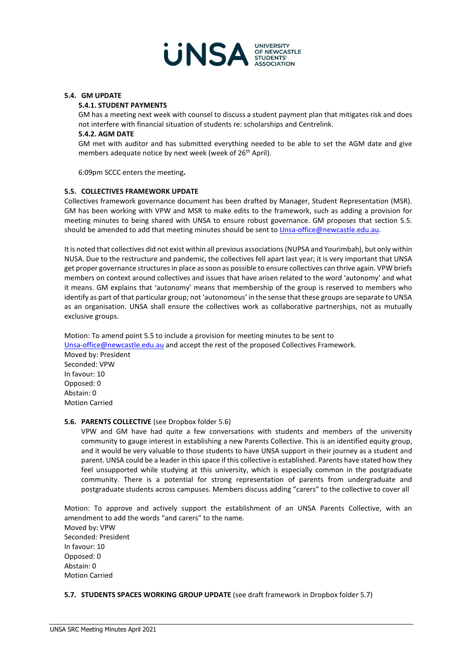

#### **5.4. GM UPDATE**

#### **5.4.1. STUDENT PAYMENTS**

GM has a meeting next week with counsel to discuss a student payment plan that mitigates risk and does not interfere with financial situation of students re: scholarships and Centrelink.

#### **5.4.2. AGM DATE**

GM met with auditor and has submitted everything needed to be able to set the AGM date and give members adequate notice by next week (week of 26<sup>th</sup> April).

6:09pm SCCC enters the meeting**.** 

#### **5.5. COLLECTIVES FRAMEWORK UPDATE**

Collectives framework governance document has been drafted by Manager, Student Representation (MSR). GM has been working with VPW and MSR to make edits to the framework, such as adding a provision for meeting minutes to being shared with UNSA to ensure robust governance. GM proposes that section 5.5. should be amended to add that meeting minutes should be sent to *Unsa-office@newcastle.edu.au.* 

It is noted that collectives did not exist within all previous associations (NUPSA and Yourimbah), but only within NUSA. Due to the restructure and pandemic, the collectives fell apart last year; it is very important that UNSA get proper governance structures in place as soon as possible to ensure collectives can thrive again. VPW briefs members on context around collectives and issues that have arisen related to the word 'autonomy' and what it means. GM explains that 'autonomy' means that membership of the group is reserved to members who identify as part of that particular group; not 'autonomous' in the sense that these groups are separate to UNSA as an organisation. UNSA shall ensure the collectives work as collaborative partnerships, not as mutually exclusive groups.

Motion: To amend point 5.5 to include a provision for meeting minutes to be sent to [Unsa-office@newcastle.edu.au](mailto:Unsa-office@newcastle.edu.au) and accept the rest of the proposed Collectives Framework. Moved by: President Seconded: VPW In favour: 10 Opposed: 0 Abstain: 0 Motion Carried

#### **5.6. PARENTS COLLECTIVE** (see Dropbox folder 5.6)

VPW and GM have had quite a few conversations with students and members of the university community to gauge interest in establishing a new Parents Collective. This is an identified equity group, and it would be very valuable to those students to have UNSA support in their journey as a student and parent. UNSA could be a leader in this space if this collective is established. Parents have stated how they feel unsupported while studying at this university, which is especially common in the postgraduate community. There is a potential for strong representation of parents from undergraduate and postgraduate students across campuses. Members discuss adding "carers" to the collective to cover all

Motion: To approve and actively support the establishment of an UNSA Parents Collective, with an amendment to add the words "and carers" to the name. Moved by: VPW Seconded: President In favour: 10 Opposed: 0 Abstain: 0 Motion Carried

#### **5.7. STUDENTS SPACES WORKING GROUP UPDATE** (see draft framework in Dropbox folder 5.7)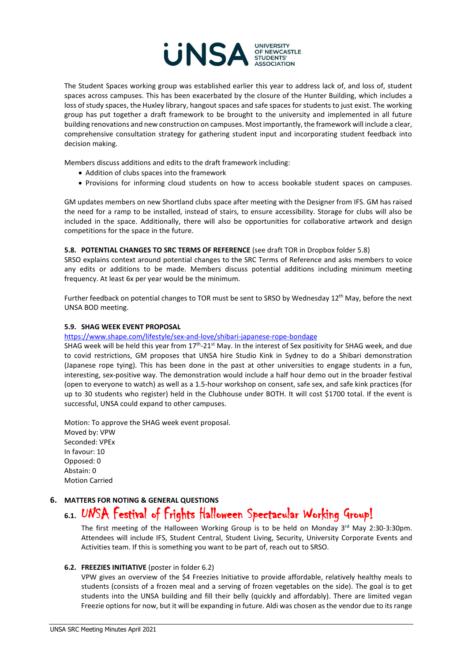

The Student Spaces working group was established earlier this year to address lack of, and loss of, student spaces across campuses. This has been exacerbated by the closure of the Hunter Building, which includes a loss of study spaces, the Huxley library, hangout spaces and safe spaces for students to just exist. The working group has put together a draft framework to be brought to the university and implemented in all future building renovations and new construction on campuses. Most importantly, the framework will include a clear, comprehensive consultation strategy for gathering student input and incorporating student feedback into decision making.

Members discuss additions and edits to the draft framework including:

- Addition of clubs spaces into the framework
- Provisions for informing cloud students on how to access bookable student spaces on campuses.

GM updates members on new Shortland clubs space after meeting with the Designer from IFS. GM has raised the need for a ramp to be installed, instead of stairs, to ensure accessibility. Storage for clubs will also be included in the space. Additionally, there will also be opportunities for collaborative artwork and design competitions for the space in the future.

#### **5.8. POTENTIAL CHANGES TO SRC TERMS OF REFERENCE** (see draft TOR in Dropbox folder 5.8)

SRSO explains context around potential changes to the SRC Terms of Reference and asks members to voice any edits or additions to be made. Members discuss potential additions including minimum meeting frequency. At least 6x per year would be the minimum.

Further feedback on potential changes to TOR must be sent to SRSO by Wednesday  $12<sup>th</sup>$  May, before the next UNSA BOD meeting.

#### **5.9. SHAG WEEK EVENT PROPOSAL**

<https://www.shape.com/lifestyle/sex-and-love/shibari-japanese-rope-bondage>

SHAG week will be held this year from  $17<sup>th</sup>-21<sup>st</sup>$  May. In the interest of Sex positivity for SHAG week, and due to covid restrictions, GM proposes that UNSA hire Studio Kink in Sydney to do a Shibari demonstration (Japanese rope tying). This has been done in the past at other universities to engage students in a fun, interesting, sex-positive way. The demonstration would include a half hour demo out in the broader festival (open to everyone to watch) as well as a 1.5-hour workshop on consent, safe sex, and safe kink practices (for up to 30 students who register) held in the Clubhouse under BOTH. It will cost \$1700 total. If the event is successful, UNSA could expand to other campuses.

Motion: To approve the SHAG week event proposal. Moved by: VPW Seconded: VPEx In favour: 10 Opposed: 0 Abstain: 0 Motion Carried

#### **6. MATTERS FOR NOTING & GENERAL QUESTIONS**

# **6.1.** UNSA Festival of Frights Halloween Spectacular Working Group!

The first meeting of the Halloween Working Group is to be held on Monday  $3^{rd}$  May 2:30-3:30pm. Attendees will include IFS, Student Central, Student Living, Security, University Corporate Events and Activities team. If this is something you want to be part of, reach out to SRSO.

#### **6.2. FREEZIES INITIATIVE** (poster in folder 6.2)

VPW gives an overview of the \$4 Freezies Initiative to provide affordable, relatively healthy meals to students (consists of a frozen meal and a serving of frozen vegetables on the side). The goal is to get students into the UNSA building and fill their belly (quickly and affordably). There are limited vegan Freezie options for now, but it will be expanding in future. Aldi was chosen as the vendor due to its range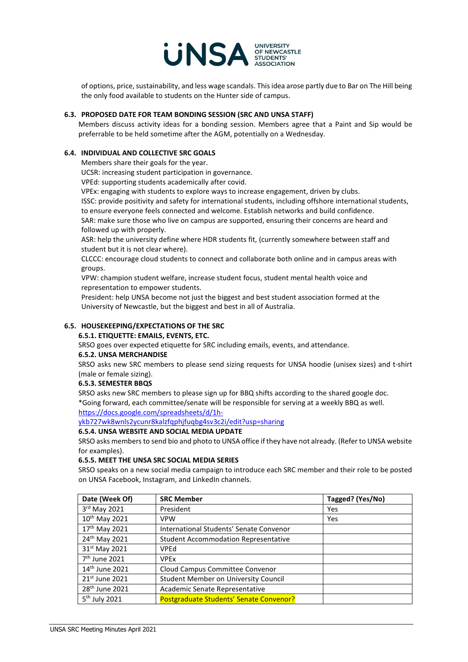

of options, price, sustainability, and less wage scandals. This idea arose partly due to Bar on The Hill being the only food available to students on the Hunter side of campus.

#### **6.3. PROPOSED DATE FOR TEAM BONDING SESSION (SRC AND UNSA STAFF)**

Members discuss activity ideas for a bonding session. Members agree that a Paint and Sip would be preferrable to be held sometime after the AGM, potentially on a Wednesday.

#### **6.4. INDIVIDUAL AND COLLECTIVE SRC GOALS**

Members share their goals for the year.

UCSR: increasing student participation in governance.

VPEd: supporting students academically after covid.

VPEx: engaging with students to explore ways to increase engagement, driven by clubs.

ISSC: provide positivity and safety for international students, including offshore international students, to ensure everyone feels connected and welcome. Establish networks and build confidence.

SAR: make sure those who live on campus are supported, ensuring their concerns are heard and followed up with properly.

ASR: help the university define where HDR students fit, (currently somewhere between staff and student but it is not clear where).

CLCCC: encourage cloud students to connect and collaborate both online and in campus areas with groups.

VPW: champion student welfare, increase student focus, student mental health voice and representation to empower students.

President: help UNSA become not just the biggest and best student association formed at the University of Newcastle, but the biggest and best in all of Australia.

#### **6.5. HOUSEKEEPING/EXPECTATIONS OF THE SRC**

#### **6.5.1. ETIQUETTE: EMAILS, EVENTS, ETC.**

SRSO goes over expected etiquette for SRC including emails, events, and attendance.

#### **6.5.2. UNSA MERCHANDISE**

SRSO asks new SRC members to please send sizing requests for UNSA hoodie (unisex sizes) and t-shirt (male or female sizing).

#### **6.5.3. SEMESTER BBQS**

SRSO asks new SRC members to please sign up for BBQ shifts according to the shared google doc. \*Going forward, each committee/senate will be responsible for serving at a weekly BBQ as well. [https://docs.google.com/spreadsheets/d/1h-](https://docs.google.com/spreadsheets/d/1H-Ykb727Wk8wNLS2YcuNr8KaLzfQpHJfuQBG4sV3c2I/edit?usp=sharing)

[ykb727wk8wnls2ycunr8kalzfqphjfuqbg4sv3c2i/edit?usp=sharing](https://docs.google.com/spreadsheets/d/1H-Ykb727Wk8wNLS2YcuNr8KaLzfQpHJfuQBG4sV3c2I/edit?usp=sharing)

## **6.5.4. UNSA WEBSITE AND SOCIAL MEDIA UPDATE**

SRSO asks members to send bio and photo to UNSA office if they have not already. (Refer to UNSA website for examples).

#### **6.5.5. MEET THE UNSA SRC SOCIAL MEDIA SERIES**

SRSO speaks on a new social media campaign to introduce each SRC member and their role to be posted on UNSA Facebook, Instagram, and LinkedIn channels.

| Date (Week Of)             | <b>SRC Member</b>                           | Tagged? (Yes/No) |
|----------------------------|---------------------------------------------|------------------|
| 3rd May 2021               | President                                   | Yes              |
| 10 <sup>th</sup> May 2021  | <b>VPW</b>                                  | Yes              |
| 17 <sup>th</sup> May 2021  | International Students' Senate Convenor     |                  |
| 24 <sup>th</sup> May 2021  | <b>Student Accommodation Representative</b> |                  |
| 31st May 2021              | VPEd                                        |                  |
| 7 <sup>th</sup> June 2021  | <b>VPEx</b>                                 |                  |
| $14th$ June 2021           | Cloud Campus Committee Convenor             |                  |
| 21st June 2021             | Student Member on University Council        |                  |
| 28 <sup>th</sup> June 2021 | Academic Senate Representative              |                  |
| 5 <sup>th</sup> July 2021  | Postgraduate Students' Senate Convenor?     |                  |